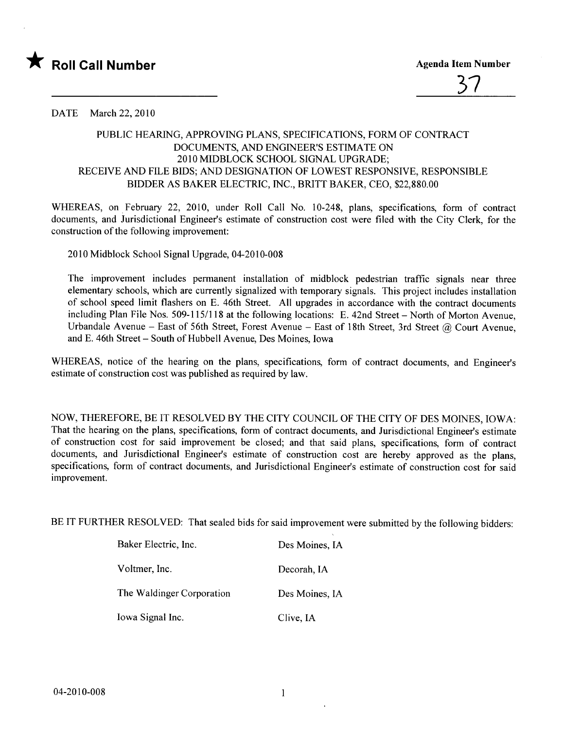



## DATE March 22, 2010

## PUBLIC HEARIG, APPROVING PLANS, SPECIFICATIONS, FORM OF CONTRACT DOCUMENTS, AND ENGINEER'S ESTIMATE ON 2010MIDBLOCK SCHOOL SIGNAL UPGRADE; RECEIVE AND FILE BIDS; AND DESIGNATION OF LOWEST RESPONSIVE, RESPONSIBLE BIDDER AS BAKER ELECTRIC, INC., BRITT BAKER, CEO, \$22,880.00

WHEREAS, on February 22, 2010, under Roll Call No. 10-248, plans, specifications, form of contract documents, and Jurisdictional Engineer's estimate of construction cost were fied with the City Clerk, for the construction of the following improvement:

2010 Midblock School Signal Upgrade, 04-2010-008

The improvement includes permanent installation of midblock pedestrian traffc signals near three elementary schools, which are currently signalized with temporary signals. This project includes installation of school speed limit flashers on E. 46th Street. All upgrades in accordance with the contract documents including Plan File Nos. 509-115/118 at the following locations: E. 42nd Street - North of Morton Avenue, Urbandale Avenue - East of 56th Street, Forest Avenue - East of 18th Street, 3rd Street @ Court Avenue, and E. 46th Street - South of Hubbell A venue, Des Moines, Iowa

WHREAS, notice of the hearing on the plans, specifications, form of contract documents, and Engineer's estimate of construction cost was published as required by law.

NOW, THEREFORE, BE IT RESOLVED BY THE CITY COUNCIL OF THE CITY OF DES MOINES, IOWA: That the hearing on the plans, specifications, form of contract documents, and Jurisdictional Engineer's estimate of construction cost for said improvement be closed; and that said plans, specifications, form of contract documents, and Jurisdictional Engineer's estimate of construction cost are hereby approved as the plans, specifications, form of contract documents, and Jurisdictional Engineer's estimate of construction cost for said improvement.

BE IT FURTHER RESOLVED: That sealed bids for said improvement were submitted by the following bidders:

| Baker Electric, Inc.      | Des Moines, IA |
|---------------------------|----------------|
| Voltmer, Inc.             | Decorah, IA    |
| The Waldinger Corporation | Des Moines, IA |
| Iowa Signal Inc.          | Clive, IA      |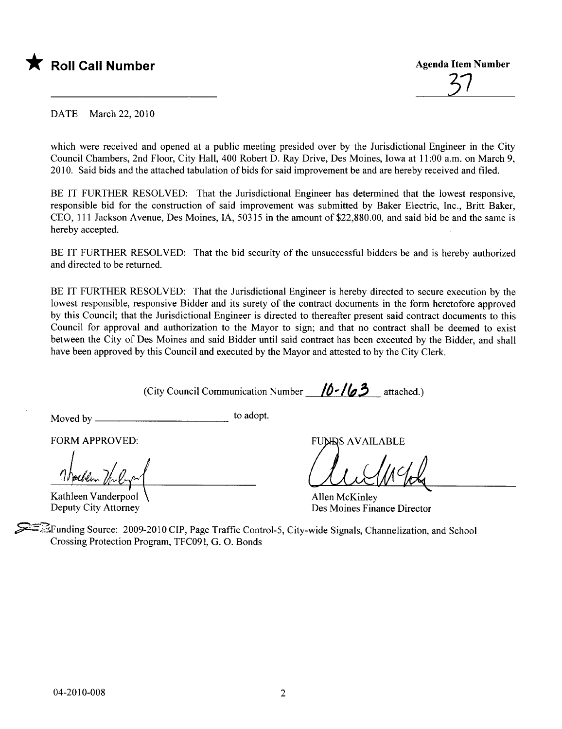

<u>51</u>

DATE March 22, 2010

which were received and opened at a public meeting presided over by the Jurisdictional Engineer in the City Council Chambers, 2nd Floor, City Hall, 400 Robert D. Ray Drive, Des Moines, Iowa at 11:00 a.m. on March 9, 2010. Said bids and the attached tabulation of bids for said improvement be and are hereby received and fied.

BE IT FURTHER RESOLVED: That the Jurisdictional Engineer has determined that the lowest responsive, responsible bid for the construction of said improvement was submitted by Baker Electric, Inc., Britt Baker, CEO, 111 Jackson Avenue, Des Moines, IA, 50315 in the amount of \$22,880.00, and said bid be and the same is hereby accepted.

BE IT FURTHER RESOLVED: That the bid security of the unsuccessful bidders be and is hereby authorized and directed to be returned.

BE IT FURTHER RESOLVED: That the Jurisdictional Engineer is hereby directed to secure execution by the lowest responsible, responsive Bidder and its surety of the contract documents in the form heretofore approved by this Council; that the Jurisdictional Engineer is directed to thereafter present said contract documents to this Council for approval and authorization to the Mayor to sign; and that no contract shall be deemed to exist between the City of Des Moines and said Bidder until said contract has been executed by the Bidder, and shall have been approved by this Council and executed by the Mayor and attested to by the City Clerk.

(City Council Communication Number  $/0$ - $/63$  attached.)

Moved by to adopt.

FORM APPROVED:

Kathleen Vanderpool Deputy City Attorney

**FUNDS AVAILABLE** 

al Clubbel

Allen McKinley Des Moines Finance Director

.\$BFunding Source: 2009-2010 CIP, Page Traffc Control-5, City-wide Signals, Channelization, and School Crossing Protection Program, TFC091, G. O. Bonds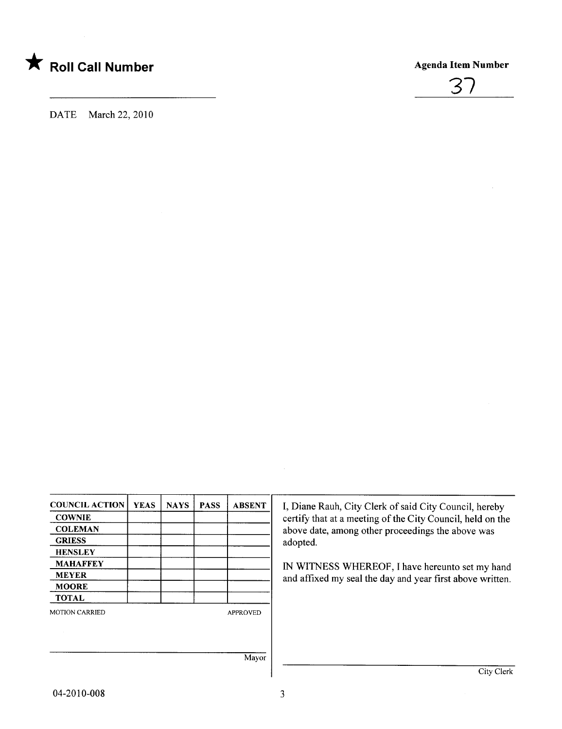



DATE March 22, 2010

| <b>COUNCIL ACTION</b> | <b>YEAS</b> | <b>NAYS</b> | <b>PASS</b> | <b>ABSENT</b>   |
|-----------------------|-------------|-------------|-------------|-----------------|
| <b>COWNIE</b>         |             |             |             |                 |
| <b>COLEMAN</b>        |             |             |             |                 |
| <b>GRIESS</b>         |             |             |             |                 |
| <b>HENSLEY</b>        |             |             |             |                 |
| <b>MAHAFFEY</b>       |             |             |             |                 |
| <b>MEYER</b>          |             |             |             |                 |
| <b>MOORE</b>          |             |             |             |                 |
| <b>TOTAL</b>          |             |             |             |                 |
| <b>MOTION CARRIED</b> |             |             |             | <b>APPROVED</b> |
|                       |             |             |             |                 |
|                       |             |             |             | Mayor           |

I, Diane Rauh, City Clerk of said City Council, hereby certify that at a meeting of the City Council, held on the above date, among other proceedings the above was adopted.

IN WITNESS WHEREOF, I have hereunto set my hand and affixed my seal the day and year first above written.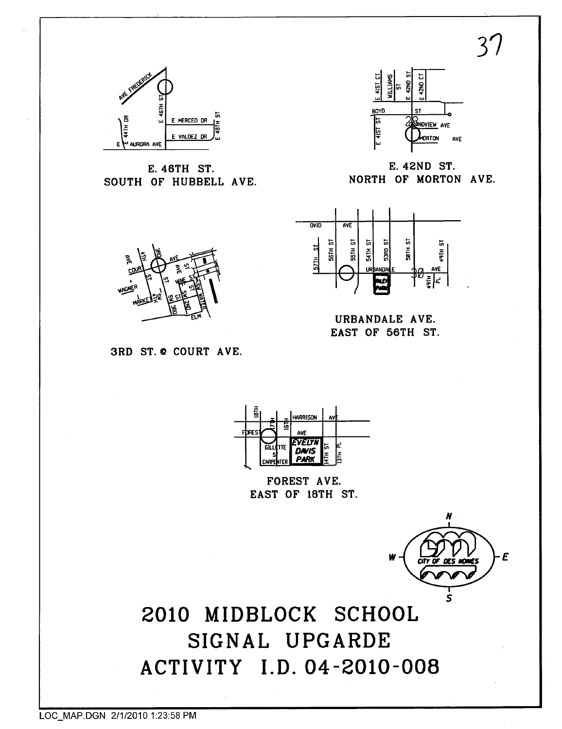$3^{\prime}$ 



E. 46TH ST. SOUTH OF HUBBELL AVE.



E. 42ND ST. NORTH OF MORTON AVE.



URBANDALE AVE. EAST OF 56TH ST.







FOREST AVE. EAST OF 18TH ST.



2010 MIDBLOCK SCHOOL SIGNAL UPGARDE ACTIVITY I.D. 04-2010-008